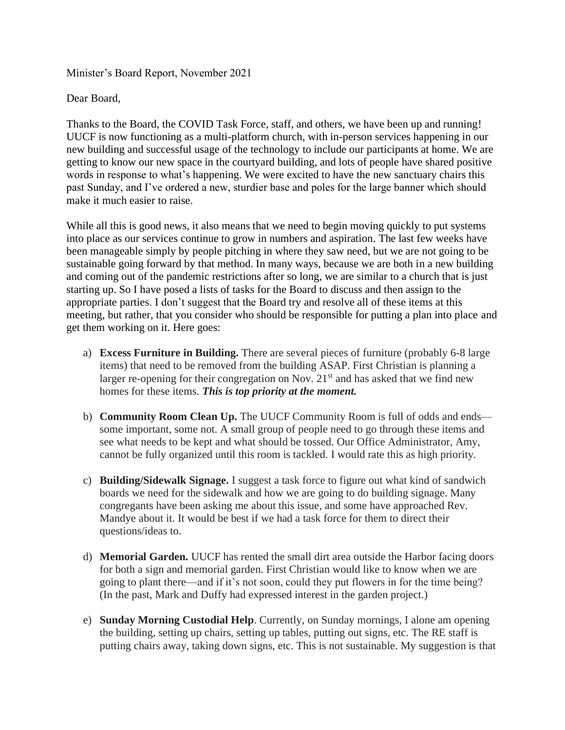Minister's Board Report, November 2021

Dear Board,

Thanks to the Board, the COVID Task Force, staff, and others, we have been up and running! UUCF is now functioning as a multi-platform church, with in-person services happening in our new building and successful usage of the technology to include our participants at home. We are getting to know our new space in the courtyard building, and lots of people have shared positive words in response to what's happening. We were excited to have the new sanctuary chairs this past Sunday, and I've ordered a new, sturdier base and poles for the large banner which should make it much easier to raise.

While all this is good news, it also means that we need to begin moving quickly to put systems into place as our services continue to grow in numbers and aspiration. The last few weeks have been manageable simply by people pitching in where they saw need, but we are not going to be sustainable going forward by that method. In many ways, because we are both in a new building and coming out of the pandemic restrictions after so long, we are similar to a church that is just starting up. So I have posed a lists of tasks for the Board to discuss and then assign to the appropriate parties. I don't suggest that the Board try and resolve all of these items at this meeting, but rather, that you consider who should be responsible for putting a plan into place and get them working on it. Here goes:

- a) **Excess Furniture in Building.** There are several pieces of furniture (probably 6-8 large items) that need to be removed from the building ASAP. First Christian is planning a larger re-opening for their congregation on Nov.  $21<sup>st</sup>$  and has asked that we find new homes for these items. *This is top priority at the moment.*
- b) **Community Room Clean Up.** The UUCF Community Room is full of odds and ends some important, some not. A small group of people need to go through these items and see what needs to be kept and what should be tossed. Our Office Administrator, Amy, cannot be fully organized until this room is tackled. I would rate this as high priority.
- c) **Building/Sidewalk Signage.** I suggest a task force to figure out what kind of sandwich boards we need for the sidewalk and how we are going to do building signage. Many congregants have been asking me about this issue, and some have approached Rev. Mandye about it. It would be best if we had a task force for them to direct their questions/ideas to.
- d) **Memorial Garden.** UUCF has rented the small dirt area outside the Harbor facing doors for both a sign and memorial garden. First Christian would like to know when we are going to plant there—and if it's not soon, could they put flowers in for the time being? (In the past, Mark and Duffy had expressed interest in the garden project.)
- e) **Sunday Morning Custodial Help**. Currently, on Sunday mornings, I alone am opening the building, setting up chairs, setting up tables, putting out signs, etc. The RE staff is putting chairs away, taking down signs, etc. This is not sustainable. My suggestion is that